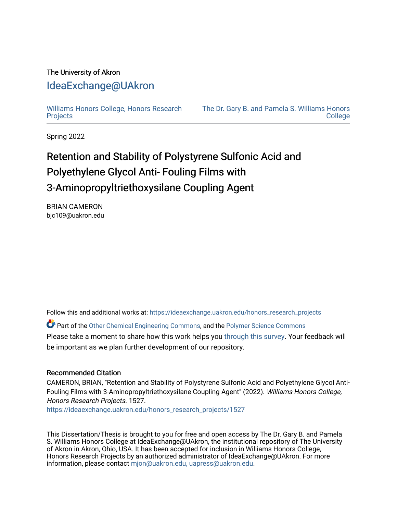# The University of Akron [IdeaExchange@UAkron](https://ideaexchange.uakron.edu/)

[Williams Honors College, Honors Research](https://ideaexchange.uakron.edu/honors_research_projects)  **[Projects](https://ideaexchange.uakron.edu/honors_research_projects)** 

[The Dr. Gary B. and Pamela S. Williams Honors](https://ideaexchange.uakron.edu/honorscollege_ideas)  **College** 

Spring 2022

# Retention and Stability of Polystyrene Sulfonic Acid and Polyethylene Glycol Anti- Fouling Films with 3-Aminopropyltriethoxysilane Coupling Agent

BRIAN CAMERON bjc109@uakron.edu

Follow this and additional works at: [https://ideaexchange.uakron.edu/honors\\_research\\_projects](https://ideaexchange.uakron.edu/honors_research_projects?utm_source=ideaexchange.uakron.edu%2Fhonors_research_projects%2F1527&utm_medium=PDF&utm_campaign=PDFCoverPages) 

Part of the [Other Chemical Engineering Commons](http://network.bepress.com/hgg/discipline/250?utm_source=ideaexchange.uakron.edu%2Fhonors_research_projects%2F1527&utm_medium=PDF&utm_campaign=PDFCoverPages), and the [Polymer Science Commons](http://network.bepress.com/hgg/discipline/246?utm_source=ideaexchange.uakron.edu%2Fhonors_research_projects%2F1527&utm_medium=PDF&utm_campaign=PDFCoverPages) 

Please take a moment to share how this work helps you [through this survey](http://survey.az1.qualtrics.com/SE/?SID=SV_eEVH54oiCbOw05f&URL=https://ideaexchange.uakron.edu/honors_research_projects/1527). Your feedback will be important as we plan further development of our repository.

#### Recommended Citation

CAMERON, BRIAN, "Retention and Stability of Polystyrene Sulfonic Acid and Polyethylene Glycol Anti-Fouling Films with 3-Aminopropyltriethoxysilane Coupling Agent" (2022). Williams Honors College, Honors Research Projects. 1527.

[https://ideaexchange.uakron.edu/honors\\_research\\_projects/1527](https://ideaexchange.uakron.edu/honors_research_projects/1527?utm_source=ideaexchange.uakron.edu%2Fhonors_research_projects%2F1527&utm_medium=PDF&utm_campaign=PDFCoverPages) 

This Dissertation/Thesis is brought to you for free and open access by The Dr. Gary B. and Pamela S. Williams Honors College at IdeaExchange@UAkron, the institutional repository of The University of Akron in Akron, Ohio, USA. It has been accepted for inclusion in Williams Honors College, Honors Research Projects by an authorized administrator of IdeaExchange@UAkron. For more information, please contact [mjon@uakron.edu, uapress@uakron.edu.](mailto:mjon@uakron.edu,%20uapress@uakron.edu)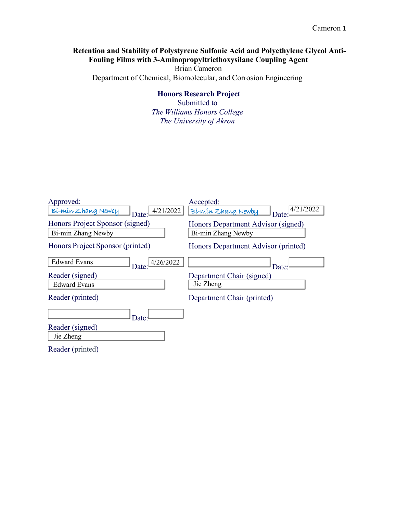# **Retention and Stability of Polystyrene Sulfonic Acid and Polyethylene Glycol Anti-Fouling Films with 3-Aminopropyltriethoxysilane Coupling Agent**

Brian Cameron Department of Chemical, Biomolecular, and Corrosion Engineering

# **Honors Research Project**

Submitted to *The Williams Honors College The University of Akron*

| Approved:                                             | Accepted:                                                |  |  |  |
|-------------------------------------------------------|----------------------------------------------------------|--|--|--|
| 4/21/2022<br>Bí-mín Zhang Newby<br>Date:              | 4/21/2022<br>Bí-mín Zhang Newby<br>Date: $\theta$        |  |  |  |
| Honors Project Sponsor (signed)<br>Bi-min Zhang Newby | Honors Department Advisor (signed)<br>Bi-min Zhang Newby |  |  |  |
| Honors Project Sponsor (printed)                      | Honors Department Advisor (printed)                      |  |  |  |
| <b>Edward Evans</b><br>4/26/2022<br>Date:             | Date:                                                    |  |  |  |
| Reader (signed)                                       | Department Chair (signed)                                |  |  |  |
| <b>Edward Evans</b>                                   | Jie Zheng                                                |  |  |  |
| Reader (printed)                                      | Department Chair (printed)                               |  |  |  |
| Date:                                                 |                                                          |  |  |  |
| Reader (signed)                                       |                                                          |  |  |  |
| Jie Zheng                                             |                                                          |  |  |  |
| Reader (printed)                                      |                                                          |  |  |  |
|                                                       |                                                          |  |  |  |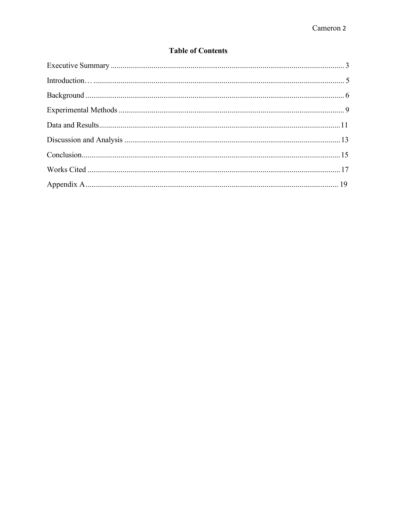# **Table of Contents**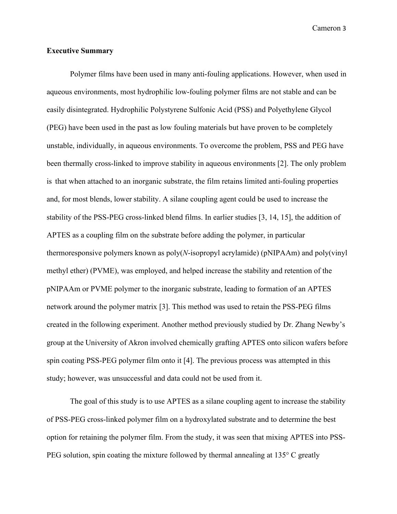#### <span id="page-3-0"></span>**Executive Summary**

Polymer films have been used in many anti-fouling applications. However, when used in aqueous environments, most hydrophilic low-fouling polymer films are not stable and can be easily disintegrated. Hydrophilic Polystyrene Sulfonic Acid (PSS) and Polyethylene Glycol (PEG) have been used in the past as low fouling materials but have proven to be completely unstable, individually, in aqueous environments. To overcome the problem, PSS and PEG have been thermally cross-linked to improve stability in aqueous environments [2]. The only problem is that when attached to an inorganic substrate, the film retains limited anti-fouling properties and, for most blends, lower stability. A silane coupling agent could be used to increase the stability of the PSS-PEG cross-linked blend films. In earlier studies [3, 14, 15], the addition of APTES as a coupling film on the substrate before adding the polymer, in particular thermoresponsive polymers known as poly(*N*-isopropyl acrylamide) (pNIPAAm) and poly(vinyl methyl ether) (PVME), was employed, and helped increase the stability and retention of the pNIPAAm or PVME polymer to the inorganic substrate, leading to formation of an APTES network around the polymer matrix [3]. This method was used to retain the PSS-PEG films created in the following experiment. Another method previously studied by Dr. Zhang Newby's group at the University of Akron involved chemically grafting APTES onto silicon wafers before spin coating PSS-PEG polymer film onto it [4]. The previous process was attempted in this study; however, was unsuccessful and data could not be used from it.

The goal of this study is to use APTES as a silane coupling agent to increase the stability of PSS-PEG cross-linked polymer film on a hydroxylated substrate and to determine the best option for retaining the polymer film. From the study, it was seen that mixing APTES into PSS-PEG solution, spin coating the mixture followed by thermal annealing at 135° C greatly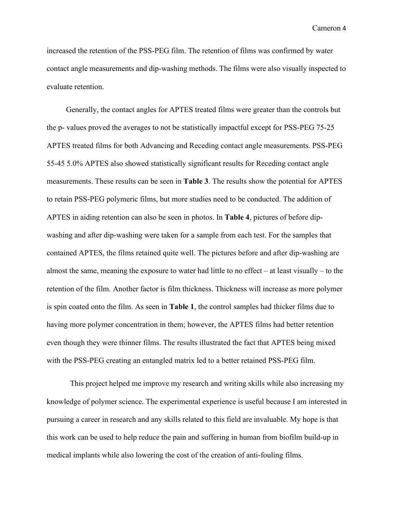increased the retention of the PSS-PEG film. The retention of films was confirmed by water contact angle measurements and dip-washing methods. The films were also visually inspected to evaluate retention.

Generally, the contact angles for APTES treated films were greater than the controls but the p- values proved the averages to not be statistically impactful except for PSS-PEG 75-25 APTES treated films for both Advancing and Receding contact angle measurements. PSS-PEG 55-45 5.0% APTES also showed statistically significant results for Receding contact angle measurements. These results can be seen in **Table 3**. The results show the potential for APTES to retain PSS-PEG polymeric films, but more studies need to be conducted. The addition of APTES in aiding retention can also be seen in photos. In **Table 4**, pictures of before dipwashing and after dip-washing were taken for a sample from each test. For the samples that contained APTES, the films retained quite well. The pictures before and after dip-washing are almost the same, meaning the exposure to water had little to no effect  $-$  at least visually  $-$  to the retention of the film. Another factor is film thickness. Thickness will increase as more polymer is spin coated onto the film. As seen in **Table 1**, the control samples had thicker films due to having more polymer concentration in them; however, the APTES films had better retention even though they were thinner films. The results illustrated the fact that APTES being mixed with the PSS-PEG creating an entangled matrix led to a better retained PSS-PEG film.

This project helped me improve my research and writing skills while also increasing my knowledge of polymer science. The experimental experience is useful because I am interested in pursuing a career in research and any skills related to this field are invaluable. My hope is that this work can be used to help reduce the pain and suffering in human from biofilm build-up in medical implants while also lowering the cost of the creation of anti-fouling films.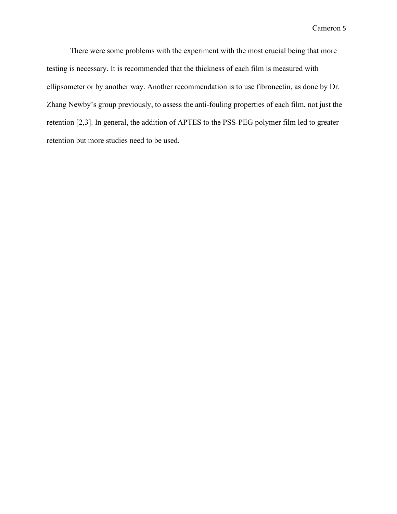There were some problems with the experiment with the most crucial being that more testing is necessary. It is recommended that the thickness of each film is measured with ellipsometer or by another way. Another recommendation is to use fibronectin, as done by Dr. Zhang Newby's group previously, to assess the anti-fouling properties of each film, not just the retention [2,3]. In general, the addition of APTES to the PSS-PEG polymer film led to greater retention but more studies need to be used.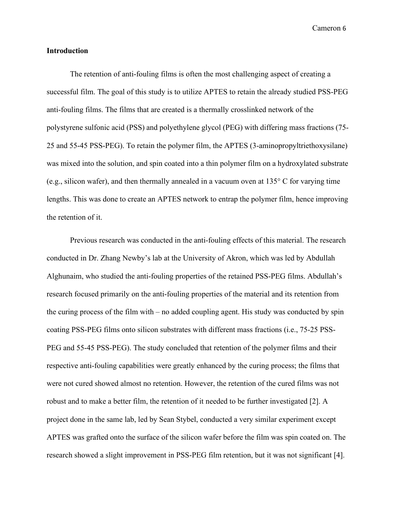#### <span id="page-6-0"></span>**Introduction**

The retention of anti-fouling films is often the most challenging aspect of creating a successful film. The goal of this study is to utilize APTES to retain the already studied PSS-PEG anti-fouling films. The films that are created is a thermally crosslinked network of the polystyrene sulfonic acid (PSS) and polyethylene glycol (PEG) with differing mass fractions (75- 25 and 55-45 PSS-PEG). To retain the polymer film, the APTES (3-aminopropyltriethoxysilane) was mixed into the solution, and spin coated into a thin polymer film on a hydroxylated substrate (e.g., silicon wafer), and then thermally annealed in a vacuum oven at 135° C for varying time lengths. This was done to create an APTES network to entrap the polymer film, hence improving the retention of it.

Previous research was conducted in the anti-fouling effects of this material. The research conducted in Dr. Zhang Newby's lab at the University of Akron, which was led by Abdullah Alghunaim, who studied the anti-fouling properties of the retained PSS-PEG films. Abdullah's research focused primarily on the anti-fouling properties of the material and its retention from the curing process of the film with – no added coupling agent. His study was conducted by spin coating PSS-PEG films onto silicon substrates with different mass fractions (i.e., 75-25 PSS-PEG and 55-45 PSS-PEG). The study concluded that retention of the polymer films and their respective anti-fouling capabilities were greatly enhanced by the curing process; the films that were not cured showed almost no retention. However, the retention of the cured films was not robust and to make a better film, the retention of it needed to be further investigated [2]. A project done in the same lab, led by Sean Stybel, conducted a very similar experiment except APTES was grafted onto the surface of the silicon wafer before the film was spin coated on. The research showed a slight improvement in PSS-PEG film retention, but it was not significant [4].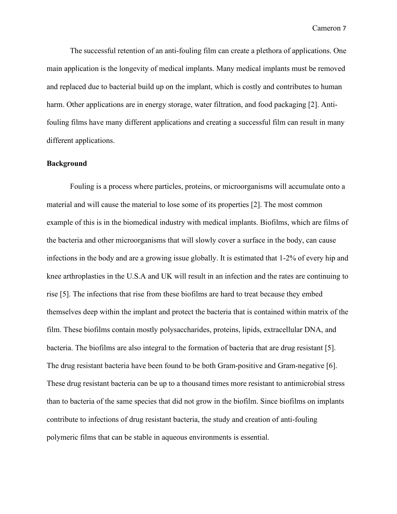The successful retention of an anti-fouling film can create a plethora of applications. One main application is the longevity of medical implants. Many medical implants must be removed and replaced due to bacterial build up on the implant, which is costly and contributes to human harm. Other applications are in energy storage, water filtration, and food packaging [2]. Antifouling films have many different applications and creating a successful film can result in many different applications.

#### <span id="page-7-0"></span>**Background**

Fouling is a process where particles, proteins, or microorganisms will accumulate onto a material and will cause the material to lose some of its properties [2]. The most common example of this is in the biomedical industry with medical implants. Biofilms, which are films of the bacteria and other microorganisms that will slowly cover a surface in the body, can cause infections in the body and are a growing issue globally. It is estimated that 1-2% of every hip and knee arthroplasties in the U.S.A and UK will result in an infection and the rates are continuing to rise [5]. The infections that rise from these biofilms are hard to treat because they embed themselves deep within the implant and protect the bacteria that is contained within matrix of the film. These biofilms contain mostly polysaccharides, proteins, lipids, extracellular DNA, and bacteria. The biofilms are also integral to the formation of bacteria that are drug resistant [5]. The drug resistant bacteria have been found to be both Gram-positive and Gram-negative [6]. These drug resistant bacteria can be up to a thousand times more resistant to antimicrobial stress than to bacteria of the same species that did not grow in the biofilm. Since biofilms on implants contribute to infections of drug resistant bacteria, the study and creation of anti-fouling polymeric films that can be stable in aqueous environments is essential.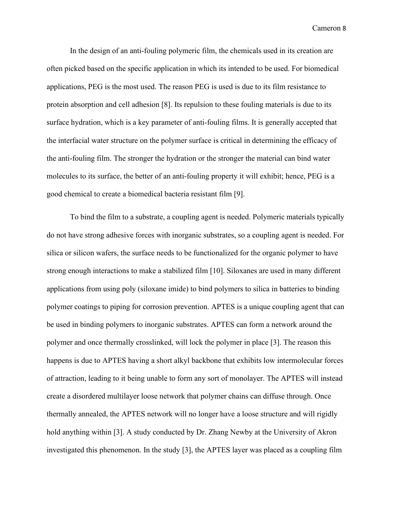In the design of an anti-fouling polymeric film, the chemicals used in its creation are often picked based on the specific application in which its intended to be used. For biomedical applications, PEG is the most used. The reason PEG is used is due to its film resistance to protein absorption and cell adhesion [8]. Its repulsion to these fouling materials is due to its surface hydration, which is a key parameter of anti-fouling films. It is generally accepted that the interfacial water structure on the polymer surface is critical in determining the efficacy of the anti-fouling film. The stronger the hydration or the stronger the material can bind water molecules to its surface, the better of an anti-fouling property it will exhibit; hence, PEG is a good chemical to create a biomedical bacteria resistant film [9].

To bind the film to a substrate, a coupling agent is needed. Polymeric materials typically do not have strong adhesive forces with inorganic substrates, so a coupling agent is needed. For silica or silicon wafers, the surface needs to be functionalized for the organic polymer to have strong enough interactions to make a stabilized film [10]. Siloxanes are used in many different applications from using poly (siloxane imide) to bind polymers to silica in batteries to binding polymer coatings to piping for corrosion prevention. APTES is a unique coupling agent that can be used in binding polymers to inorganic substrates. APTES can form a network around the polymer and once thermally crosslinked, will lock the polymer in place [3]. The reason this happens is due to APTES having a short alkyl backbone that exhibits low intermolecular forces of attraction, leading to it being unable to form any sort of monolayer. The APTES will instead create a disordered multilayer loose network that polymer chains can diffuse through. Once thermally annealed, the APTES network will no longer have a loose structure and will rigidly hold anything within [3]. A study conducted by Dr. Zhang Newby at the University of Akron investigated this phenomenon. In the study [3], the APTES layer was placed as a coupling film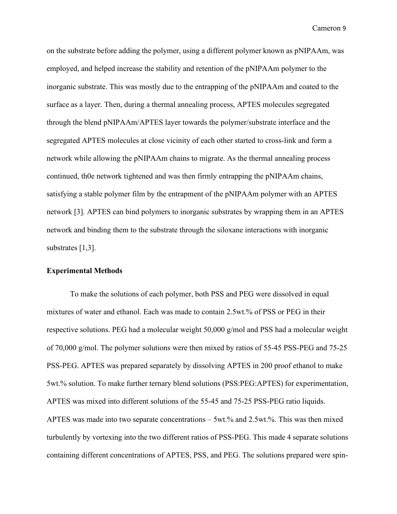on the substrate before adding the polymer, using a different polymer known as pNIPAAm, was employed, and helped increase the stability and retention of the pNIPAAm polymer to the inorganic substrate. This was mostly due to the entrapping of the pNIPAAm and coated to the surface as a layer. Then, during a thermal annealing process, APTES molecules segregated through the blend pNIPAAm/APTES layer towards the polymer/substrate interface and the segregated APTES molecules at close vicinity of each other started to cross-link and form a network while allowing the pNIPAAm chains to migrate. As the thermal annealing process continued, th0e network tightened and was then firmly entrapping the pNIPAAm chains, satisfying a stable polymer film by the entrapment of the pNIPAAm polymer with an APTES network [3]. APTES can bind polymers to inorganic substrates by wrapping them in an APTES network and binding them to the substrate through the siloxane interactions with inorganic substrates [1,3].

#### <span id="page-9-0"></span>**Experimental Methods**

To make the solutions of each polymer, both PSS and PEG were dissolved in equal mixtures of water and ethanol. Each was made to contain 2.5wt.% of PSS or PEG in their respective solutions. PEG had a molecular weight 50,000 g/mol and PSS had a molecular weight of 70,000 g/mol. The polymer solutions were then mixed by ratios of 55-45 PSS-PEG and 75-25 PSS-PEG. APTES was prepared separately by dissolving APTES in 200 proof ethanol to make 5wt.% solution. To make further ternary blend solutions (PSS:PEG:APTES) for experimentation, APTES was mixed into different solutions of the 55-45 and 75-25 PSS-PEG ratio liquids. APTES was made into two separate concentrations – 5wt.% and 2.5wt.%. This was then mixed turbulently by vortexing into the two different ratios of PSS-PEG. This made 4 separate solutions containing different concentrations of APTES, PSS, and PEG. The solutions prepared were spin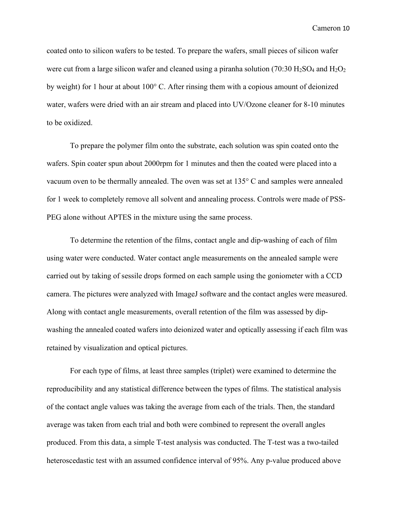coated onto to silicon wafers to be tested. To prepare the wafers, small pieces of silicon wafer were cut from a large silicon wafer and cleaned using a piranha solution (70:30  $H_2SO_4$  and  $H_2O_2$ ) by weight) for 1 hour at about 100° C. After rinsing them with a copious amount of deionized water, wafers were dried with an air stream and placed into UV/Ozone cleaner for 8-10 minutes to be oxidized.

To prepare the polymer film onto the substrate, each solution was spin coated onto the wafers. Spin coater spun about 2000rpm for 1 minutes and then the coated were placed into a vacuum oven to be thermally annealed. The oven was set at 135° C and samples were annealed for 1 week to completely remove all solvent and annealing process. Controls were made of PSS-PEG alone without APTES in the mixture using the same process.

To determine the retention of the films, contact angle and dip-washing of each of film using water were conducted. Water contact angle measurements on the annealed sample were carried out by taking of sessile drops formed on each sample using the goniometer with a CCD camera. The pictures were analyzed with ImageJ software and the contact angles were measured. Along with contact angle measurements, overall retention of the film was assessed by dipwashing the annealed coated wafers into deionized water and optically assessing if each film was retained by visualization and optical pictures.

For each type of films, at least three samples (triplet) were examined to determine the reproducibility and any statistical difference between the types of films. The statistical analysis of the contact angle values was taking the average from each of the trials. Then, the standard average was taken from each trial and both were combined to represent the overall angles produced. From this data, a simple T-test analysis was conducted. The T-test was a two-tailed heteroscedastic test with an assumed confidence interval of 95%. Any p-value produced above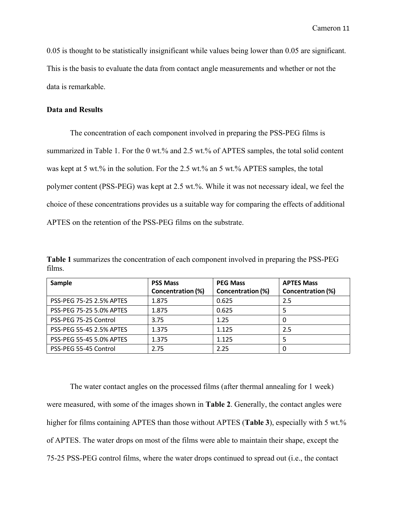0.05 is thought to be statistically insignificant while values being lower than 0.05 are significant. This is the basis to evaluate the data from contact angle measurements and whether or not the data is remarkable.

#### <span id="page-11-0"></span>**Data and Results**

The concentration of each component involved in preparing the PSS-PEG films is summarized in Table 1. For the 0 wt.% and 2.5 wt.% of APTES samples, the total solid content was kept at 5 wt.% in the solution. For the 2.5 wt.% an 5 wt.% APTES samples, the total polymer content (PSS-PEG) was kept at 2.5 wt.%. While it was not necessary ideal, we feel the choice of these concentrations provides us a suitable way for comparing the effects of additional APTES on the retention of the PSS-PEG films on the substrate.

**Table 1** summarizes the concentration of each component involved in preparing the PSS-PEG films.

| Sample                          | <b>PSS Mass</b>          | <b>PEG Mass</b>          | <b>APTES Mass</b> |
|---------------------------------|--------------------------|--------------------------|-------------------|
|                                 | <b>Concentration (%)</b> | <b>Concentration (%)</b> | Concentration (%) |
| PSS-PEG 75-25 2.5% APTES        | 1.875                    | 0.625                    | 2.5               |
| <b>PSS-PEG 75-25 5.0% APTES</b> | 1.875                    | 0.625                    |                   |
| PSS-PEG 75-25 Control           | 3.75                     | 1.25                     |                   |
| PSS-PEG 55-45 2.5% APTES        | 1.375                    | 1.125                    | 2.5               |
| PSS-PEG 55-45 5.0% APTES        | 1.375                    | 1.125                    |                   |
| PSS-PEG 55-45 Control           | 2.75                     | 2.25                     |                   |

The water contact angles on the processed films (after thermal annealing for 1 week) were measured, with some of the images shown in **Table 2**. Generally, the contact angles were higher for films containing APTES than those without APTES (**Table 3**), especially with 5 wt.% of APTES. The water drops on most of the films were able to maintain their shape, except the 75-25 PSS-PEG control films, where the water drops continued to spread out (i.e., the contact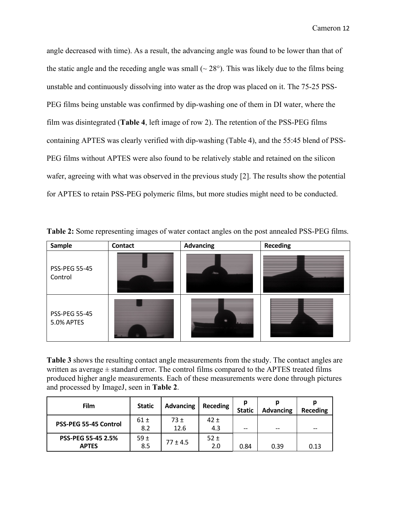angle decreased with time). As a result, the advancing angle was found to be lower than that of the static angle and the receding angle was small  $({\sim} 28^{\circ})$ . This was likely due to the films being unstable and continuously dissolving into water as the drop was placed on it. The 75-25 PSS-PEG films being unstable was confirmed by dip-washing one of them in DI water, where the film was disintegrated (**Table 4**, left image of row 2). The retention of the PSS-PEG films containing APTES was clearly verified with dip-washing (Table 4), and the 55:45 blend of PSS-PEG films without APTES were also found to be relatively stable and retained on the silicon wafer, agreeing with what was observed in the previous study [2]. The results show the potential for APTES to retain PSS-PEG polymeric films, but more studies might need to be conducted.

| Sample                             | <b>Contact</b> | <b>Advancing</b> | <b>Receding</b> |
|------------------------------------|----------------|------------------|-----------------|
| <b>PSS-PEG 55-45</b><br>Control    |                | ness.            |                 |
| <b>PSS-PEG 55-45</b><br>5.0% APTES |                | $\equiv$         |                 |

**Table 2:** Some representing images of water contact angles on the post annealed PSS-PEG films.

**Table 3** shows the resulting contact angle measurements from the study. The contact angles are written as average  $\pm$  standard error. The control films compared to the APTES treated films produced higher angle measurements. Each of these measurements were done through pictures and processed by ImageJ, seen in **Table 2**.

| Film                               | <b>Static</b> | <b>Advancing</b> | <b>Receding</b> | Ŋ<br><b>Static</b> | n<br><b>Advancing</b> | р<br><b>Receding</b> |
|------------------------------------|---------------|------------------|-----------------|--------------------|-----------------------|----------------------|
| PSS-PEG 55-45 Control              | 61±<br>8.2    | 73 ±<br>12.6     | 42±<br>4.3      | $- -$              | $- -$                 | $- -$                |
| PSS-PEG 55-45 2.5%<br><b>APTES</b> | 59±<br>8.5    | $77 \pm 4.5$     | 52±<br>2.0      | 0.84               | 0.39                  | 0.13                 |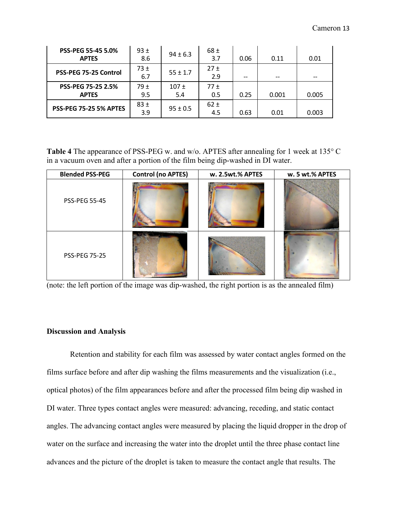| <b>PSS-PEG 55-45 5.0%</b><br><b>APTES</b> | 93±<br>8.6  | $94 \pm 6.3$   | 68±<br>3.7      | 0.06  | 0.11  | 0.01  |
|-------------------------------------------|-------------|----------------|-----------------|-------|-------|-------|
| PSS-PEG 75-25 Control                     | 73±<br>6.7  | $55 \pm 1.7$   | 27±<br>2.9      | $- -$ | $- -$ | $- -$ |
| PSS-PEG 75-25 2.5%<br><b>APTES</b>        | 79 ±<br>9.5 | $107 +$<br>5.4 | 77±<br>0.5      | 0.25  | 0.001 | 0.005 |
| <b>PSS-PEG 75-25 5% APTES</b>             | 83±<br>3.9  | $95 \pm 0.5$   | $62 \pm$<br>4.5 | 0.63  | 0.01  | 0.003 |

**Table 4** The appearance of PSS-PEG w. and w/o. APTES after annealing for 1 week at 135° C in a vacuum oven and after a portion of the film being dip-washed in DI water.

| <b>Blended PSS-PEG</b> | <b>Control (no APTES)</b> | w. 2.5wt.% APTES | w. 5 wt.% APTES |
|------------------------|---------------------------|------------------|-----------------|
| <b>PSS-PEG 55-45</b>   | ---                       |                  |                 |
| <b>PSS-PEG 75-25</b>   |                           |                  |                 |

(note: the left portion of the image was dip-washed, the right portion is as the annealed film)

#### <span id="page-13-0"></span>**Discussion and Analysis**

Retention and stability for each film was assessed by water contact angles formed on the films surface before and after dip washing the films measurements and the visualization (i.e., optical photos) of the film appearances before and after the processed film being dip washed in DI water. Three types contact angles were measured: advancing, receding, and static contact angles. The advancing contact angles were measured by placing the liquid dropper in the drop of water on the surface and increasing the water into the droplet until the three phase contact line advances and the picture of the droplet is taken to measure the contact angle that results. The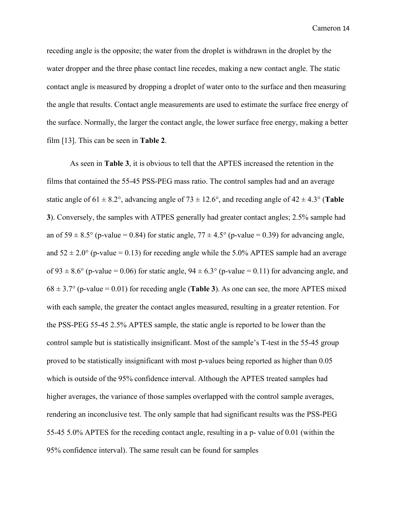receding angle is the opposite; the water from the droplet is withdrawn in the droplet by the water dropper and the three phase contact line recedes, making a new contact angle. The static contact angle is measured by dropping a droplet of water onto to the surface and then measuring the angle that results. Contact angle measurements are used to estimate the surface free energy of the surface. Normally, the larger the contact angle, the lower surface free energy, making a better film [13]. This can be seen in **Table 2**.

As seen in **Table 3**, it is obvious to tell that the APTES increased the retention in the films that contained the 55-45 PSS-PEG mass ratio. The control samples had and an average static angle of  $61 \pm 8.2^{\circ}$ , advancing angle of  $73 \pm 12.6^{\circ}$ , and receding angle of  $42 \pm 4.3^{\circ}$  (Table **3**). Conversely, the samples with ATPES generally had greater contact angles; 2.5% sample had an of  $59 \pm 8.5^{\circ}$  (p-value = 0.84) for static angle,  $77 \pm 4.5^{\circ}$  (p-value = 0.39) for advancing angle, and  $52 \pm 2.0^{\circ}$  (p-value = 0.13) for receding angle while the 5.0% APTES sample had an average of 93  $\pm$  8.6° (p-value = 0.06) for static angle, 94  $\pm$  6.3° (p-value = 0.11) for advancing angle, and  $68 \pm 3.7^{\circ}$  (p-value = 0.01) for receding angle (**Table 3**). As one can see, the more APTES mixed with each sample, the greater the contact angles measured, resulting in a greater retention. For the PSS-PEG 55-45 2.5% APTES sample, the static angle is reported to be lower than the control sample but is statistically insignificant. Most of the sample's T-test in the 55-45 group proved to be statistically insignificant with most p-values being reported as higher than 0.05 which is outside of the 95% confidence interval. Although the APTES treated samples had higher averages, the variance of those samples overlapped with the control sample averages, rendering an inconclusive test. The only sample that had significant results was the PSS-PEG 55-45 5.0% APTES for the receding contact angle, resulting in a p- value of 0.01 (within the 95% confidence interval). The same result can be found for samples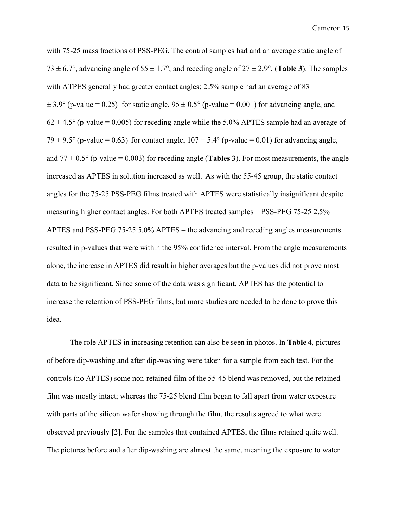with 75-25 mass fractions of PSS-PEG. The control samples had and an average static angle of 73  $\pm$  6.7°, advancing angle of 55  $\pm$  1.7°, and receding angle of 27  $\pm$  2.9°, (**Table 3**). The samples with ATPES generally had greater contact angles; 2.5% sample had an average of 83  $\pm$  3.9° (p-value = 0.25) for static angle, 95  $\pm$  0.5° (p-value = 0.001) for advancing angle, and  $62 \pm 4.5^{\circ}$  (p-value = 0.005) for receding angle while the 5.0% APTES sample had an average of 79  $\pm$  9.5° (p-value = 0.63) for contact angle, 107  $\pm$  5.4° (p-value = 0.01) for advancing angle, and  $77 \pm 0.5^{\circ}$  (p-value = 0.003) for receding angle (**Tables 3**). For most measurements, the angle increased as APTES in solution increased as well. As with the 55-45 group, the static contact angles for the 75-25 PSS-PEG films treated with APTES were statistically insignificant despite measuring higher contact angles. For both APTES treated samples – PSS-PEG 75-25 2.5% APTES and PSS-PEG 75-25 5.0% APTES – the advancing and receding angles measurements resulted in p-values that were within the 95% confidence interval. From the angle measurements alone, the increase in APTES did result in higher averages but the p-values did not prove most data to be significant. Since some of the data was significant, APTES has the potential to increase the retention of PSS-PEG films, but more studies are needed to be done to prove this idea.

The role APTES in increasing retention can also be seen in photos. In **Table 4**, pictures of before dip-washing and after dip-washing were taken for a sample from each test. For the controls (no APTES) some non-retained film of the 55-45 blend was removed, but the retained film was mostly intact; whereas the 75-25 blend film began to fall apart from water exposure with parts of the silicon wafer showing through the film, the results agreed to what were observed previously [2]. For the samples that contained APTES, the films retained quite well. The pictures before and after dip-washing are almost the same, meaning the exposure to water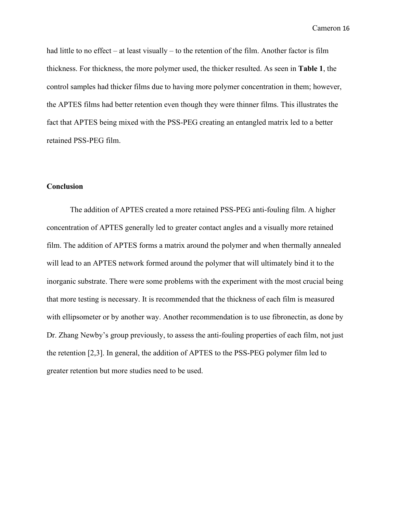had little to no effect – at least visually – to the retention of the film. Another factor is film thickness. For thickness, the more polymer used, the thicker resulted. As seen in **Table 1**, the control samples had thicker films due to having more polymer concentration in them; however, the APTES films had better retention even though they were thinner films. This illustrates the fact that APTES being mixed with the PSS-PEG creating an entangled matrix led to a better retained PSS-PEG film.

#### <span id="page-16-0"></span>**Conclusion**

The addition of APTES created a more retained PSS-PEG anti-fouling film. A higher concentration of APTES generally led to greater contact angles and a visually more retained film. The addition of APTES forms a matrix around the polymer and when thermally annealed will lead to an APTES network formed around the polymer that will ultimately bind it to the inorganic substrate. There were some problems with the experiment with the most crucial being that more testing is necessary. It is recommended that the thickness of each film is measured with ellipsometer or by another way. Another recommendation is to use fibronectin, as done by Dr. Zhang Newby's group previously, to assess the anti-fouling properties of each film, not just the retention [2,3]. In general, the addition of APTES to the PSS-PEG polymer film led to greater retention but more studies need to be used.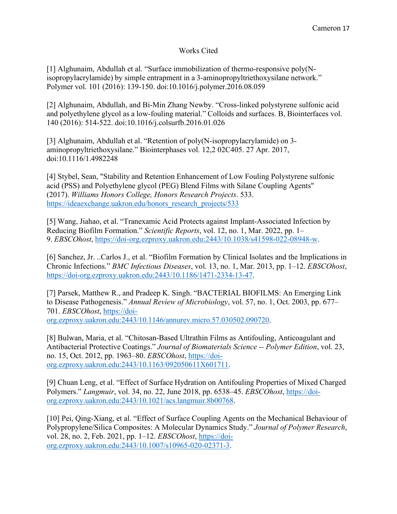# Works Cited

[1] Alghunaim, Abdullah et al. "Surface immobilization of thermo-responsive poly(Nisopropylacrylamide) by simple entrapment in a 3-aminopropyltriethoxysilane network." Polymer vol. 101 (2016): 139-150. doi:10.1016/j.polymer.2016.08.059

[2] Alghunaim, Abdullah, and Bi-Min Zhang Newby. "Cross-linked polystyrene sulfonic acid and polyethylene glycol as a low-fouling material." Colloids and surfaces. B, Biointerfaces vol. 140 (2016): 514-522. doi:10.1016/j.colsurfb.2016.01.026

[3] Alghunaim, Abdullah et al. "Retention of poly(N-isopropylacrylamide) on 3 aminopropyltriethoxysilane." Biointerphases vol. 12,2 02C405. 27 Apr. 2017, doi:10.1116/1.4982248

[4] Stybel, Sean, "Stability and Retention Enhancement of Low Fouling Polystyrene sulfonic acid (PSS) and Polyethylene glycol (PEG) Blend Films with Silane Coupling Agents" (2017). *Williams Honors College, Honors Research Projects*. 533. [https://ideaexchange.uakron.edu/honors\\_research\\_projects/533](https://ideaexchange.uakron.edu/honors_research_projects/533)

[5] Wang, Jiahao, et al. "Tranexamic Acid Protects against Implant-Associated Infection by Reducing Biofilm Formation." *Scientific Reports*, vol. 12, no. 1, Mar. 2022, pp. 1– 9. *EBSCOhost*, https://doi-org.ezproxy.uakron.edu:2443/10.1038/s41598-022-08948-w.

[6] Sanchez, Jr. ..Carlos J., et al. "Biofilm Formation by Clinical Isolates and the Implications in Chronic Infections." *BMC Infectious Diseases*, vol. 13, no. 1, Mar. 2013, pp. 1–12. *EBSCOhost*, https://doi-org.ezproxy.uakron.edu:2443/10.1186/1471-2334-13-47.

[7] Parsek, Matthew R., and Pradeep K. Singh. "BACTERIAL BIOFILMS: An Emerging Link to Disease Pathogenesis." *Annual Review of Microbiology*, vol. 57, no. 1, Oct. 2003, pp. 677– 701. *EBSCOhost*, https://doiorg.ezproxy.uakron.edu:2443/10.1146/annurev.micro.57.030502.090720.

[8] Bulwan, Maria, et al. "Chitosan-Based Ultrathin Films as Antifouling, Anticoagulant and Antibacterial Protective Coatings." *Journal of Biomaterials Science -- Polymer Edition*, vol. 23, no. 15, Oct. 2012, pp. 1963–80. *EBSCOhost*, https://doiorg.ezproxy.uakron.edu:2443/10.1163/092050611X601711.

[9] Chuan Leng, et al. "Effect of Surface Hydration on Antifouling Properties of Mixed Charged Polymers." *Langmuir*, vol. 34, no. 22, June 2018, pp. 6538–45. *EBSCOhost*, https://doiorg.ezproxy.uakron.edu:2443/10.1021/acs.langmuir.8b00768.

[10] Pei, Qing-Xiang, et al. "Effect of Surface Coupling Agents on the Mechanical Behaviour of Polypropylene/Silica Composites: A Molecular Dynamics Study." *Journal of Polymer Research*, vol. 28, no. 2, Feb. 2021, pp. 1–12. *EBSCOhost*, https://doiorg.ezproxy.uakron.edu:2443/10.1007/s10965-020-02371-3.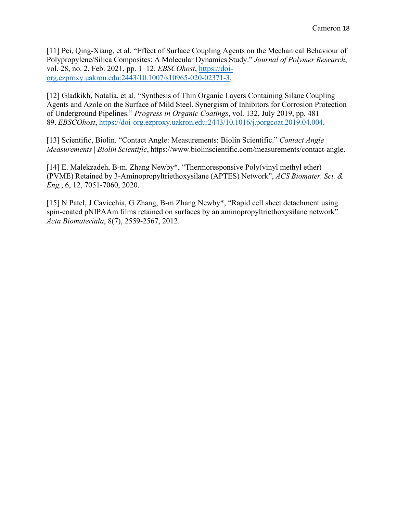[11] Pei, Qing-Xiang, et al. "Effect of Surface Coupling Agents on the Mechanical Behaviour of Polypropylene/Silica Composites: A Molecular Dynamics Study." *Journal of Polymer Research*, vol. 28, no. 2, Feb. 2021, pp. 1–12. *EBSCOhost*, https://doiorg.ezproxy.uakron.edu:2443/10.1007/s10965-020-02371-3.

[12] Gladkikh, Natalia, et al. "Synthesis of Thin Organic Layers Containing Silane Coupling Agents and Azole on the Surface of Mild Steel. Synergism of Inhibitors for Corrosion Protection of Underground Pipelines." *Progress in Organic Coatings*, vol. 132, July 2019, pp. 481– 89. *EBSCOhost*, https://doi-org.ezproxy.uakron.edu:2443/10.1016/j.porgcoat.2019.04.004.

[13] Scientific, Biolin. "Contact Angle: Measurements: Biolin Scientific." *Contact Angle | Measurements | Biolin Scientific*, http[s://ww](http://www.biolinscientific.com/measurements/contact-angle)w[.biolinscientific.com/measurements/contact-angle.](http://www.biolinscientific.com/measurements/contact-angle)

[14] E. Malekzadeh, B-m. Zhang Newby\*, "Thermoresponsive Poly(vinyl methyl ether) (PVME) Retained by 3-Aminopropyltriethoxysilane (APTES) Network", *ACS Biomater. Sci. & Eng.*, 6, 12, 7051-7060, 2020.

[15] N Patel, J Cavicchia, G Zhang, B-m Zhang Newby\*, "Rapid cell sheet detachment using spin-coated pNIPAAm films retained on surfaces by an aminopropyltriethoxysilane network" *Acta Biomateriala*, 8(7), 2559-2567, 2012.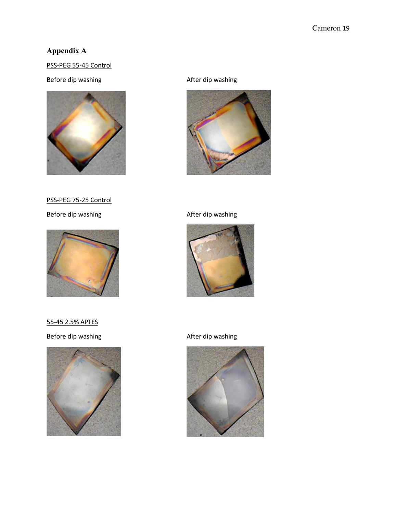# <span id="page-19-0"></span>**Appendix A**

# PSS-PEG 55-45 Control

# Before dip washing and a settlement of the After dip washing



PSS-PEG 75-25 Control



55-45 2.5% APTES

Before dip washing and a settlement of the After dip washing





### Before dip washing and a settlement of the After dip washing